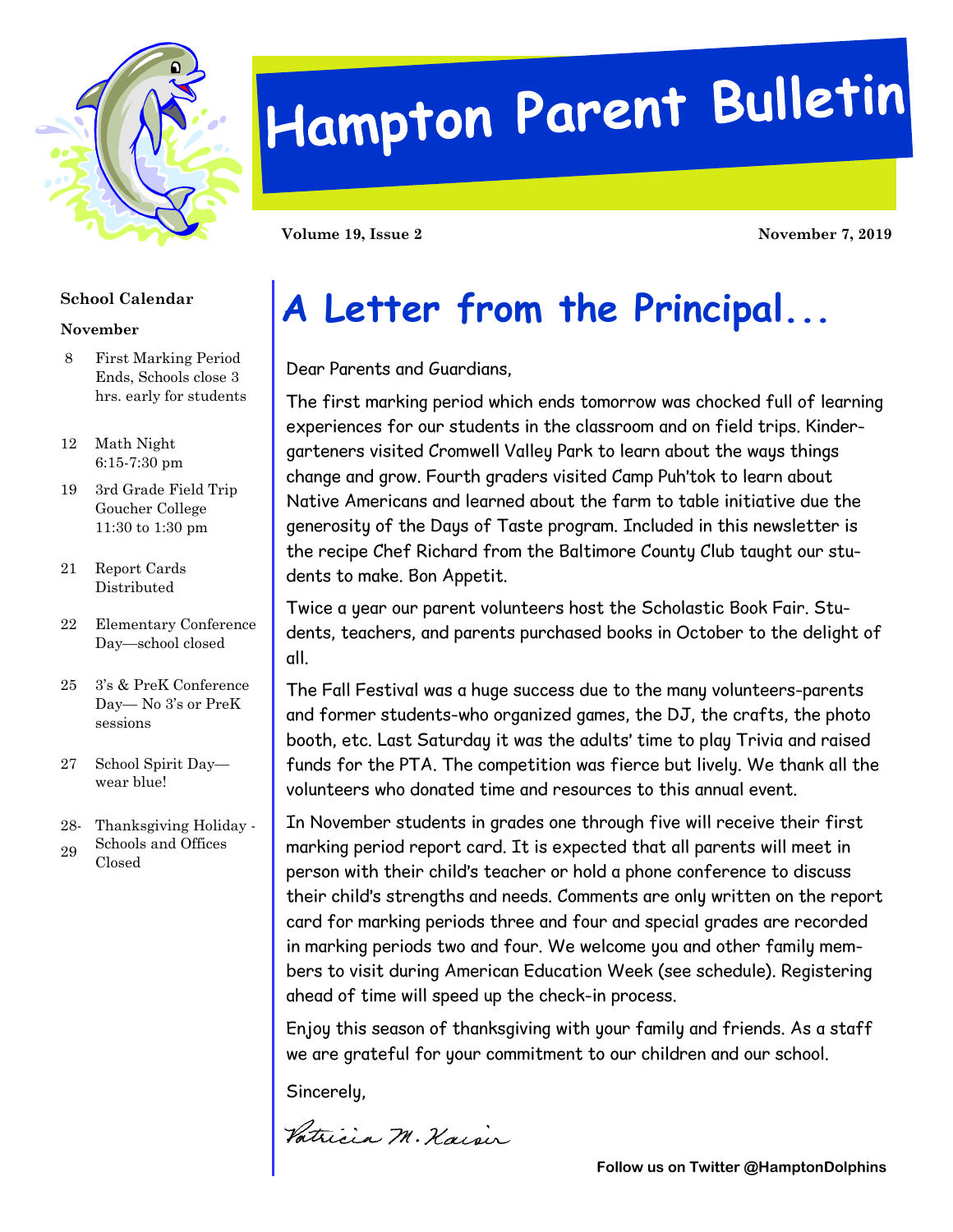

# Hampton Parent Bulletin

**Volume 19, Issue 2 November 7, 2019** 

#### **School Calendar**

#### **November**

- 8 First Marking Period Ends, Schools close 3 hrs. early for students
- 12 Math Night 6:15-7:30 pm
- 19 3rd Grade Field Trip Goucher College 11:30 to 1:30 pm
- 21 Report Cards Distributed
- 22 Elementary Conference Day—school closed
- 25 3's & PreK Conference Day— No 3's or PreK sessions
- 27 School Spirit Day wear blue!
- 28- Thanksgiving Holiday - Schools and Offices
- 29 Closed

## **A Letter from the Principal...**

Dear Parents and Guardians,

The first marking period which ends tomorrow was chocked full of learning experiences for our students in the classroom and on field trips. Kindergarteners visited Cromwell Valley Park to learn about the ways things change and grow. Fourth graders visited Camp Puh'tok to learn about Native Americans and learned about the farm to table initiative due the generosity of the Days of Taste program. Included in this newsletter is the recipe Chef Richard from the Baltimore County Club taught our students to make. Bon Appetit.

Twice a year our parent volunteers host the Scholastic Book Fair. Students, teachers, and parents purchased books in October to the delight of all.

The Fall Festival was a huge success due to the many volunteers-parents and former students-who organized games, the DJ, the crafts, the photo booth, etc. Last Saturday it was the adults' time to play Trivia and raised funds for the PTA. The competition was fierce but lively. We thank all the volunteers who donated time and resources to this annual event.

In November students in grades one through five will receive their first marking period report card. It is expected that all parents will meet in person with their child's teacher or hold a phone conference to discuss their child's strengths and needs. Comments are only written on the report card for marking periods three and four and special grades are recorded in marking periods two and four. We welcome you and other family members to visit during American Education Week (see schedule). Registering ahead of time will speed up the check-in process.

Enjoy this season of thanksgiving with your family and friends. As a staff we are grateful for your commitment to our children and our school.

Sincerely,

Vatricia M. Kaisir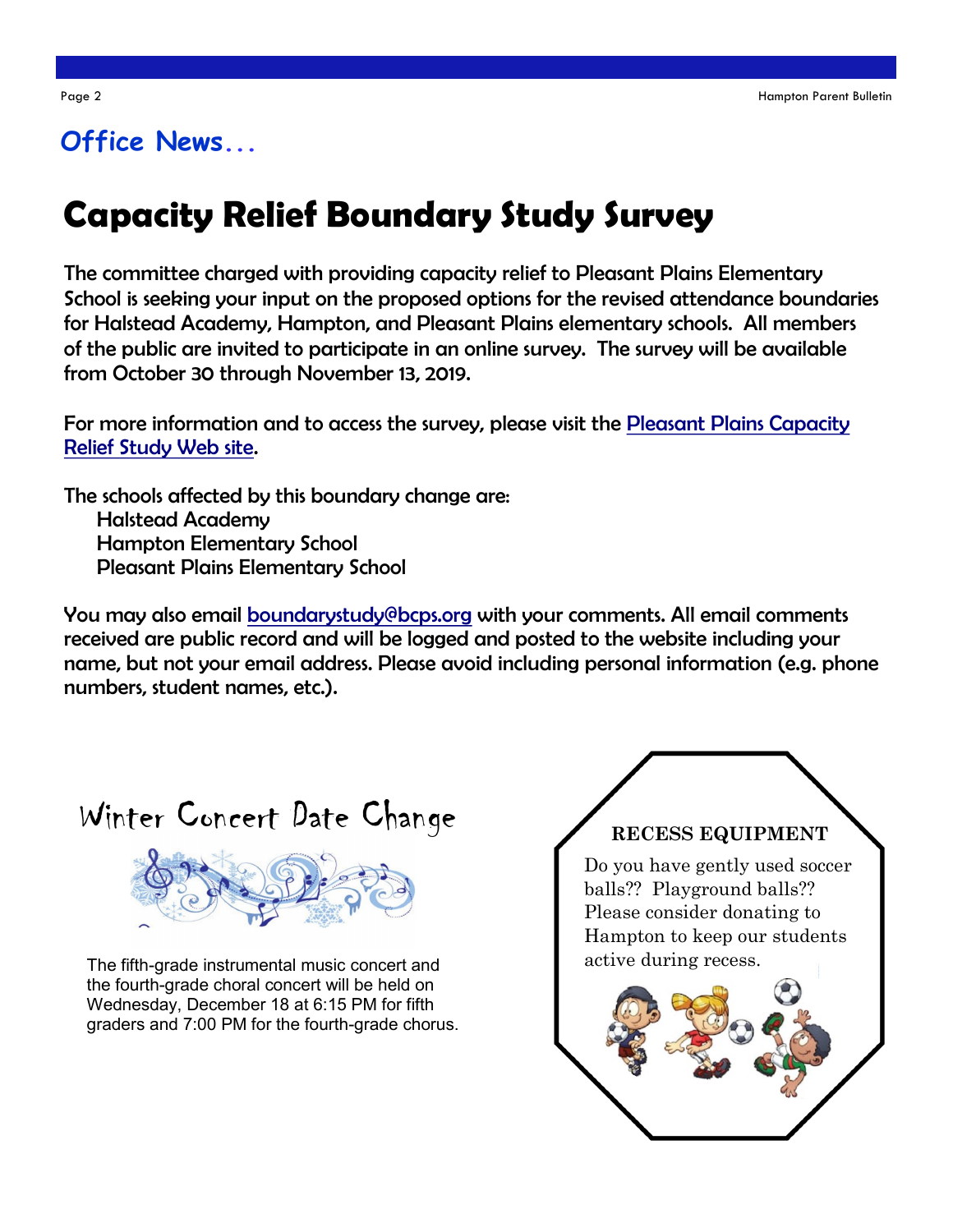### **Office News...**

## **Capacity Relief Boundary Study Survey**

The committee charged with providing capacity relief to Pleasant Plains Elementary School is seeking your input on the proposed options for the revised attendance boundaries for Halstead Academy, Hampton, and Pleasant Plains elementary schools. All members of the public are invited to participate in an online survey. The survey will be available from October 30 through November 13, 2019.

For more information and to access the survey, please visit the [Pleasant Plains Capacity](http://www.bcps.org/construction/PleasantPlainsES/)  [Relief Study Web site.](http://www.bcps.org/construction/PleasantPlainsES/)

The schools affected by this boundary change are: Halstead Academy Hampton Elementary School Pleasant Plains Elementary School

You may also email [boundarystudy@bcps.org](mailto:boundarystudy@bcps.org) with your comments. All email comments received are public record and will be logged and posted to the website including your name, but not your email address. Please avoid including personal information (e.g. phone numbers, student names, etc.).





The fifth-grade instrumental music concert and the fourth-grade choral concert will be held on Wednesday, December 18 at 6:15 PM for fifth graders and 7:00 PM for the fourth-grade chorus.

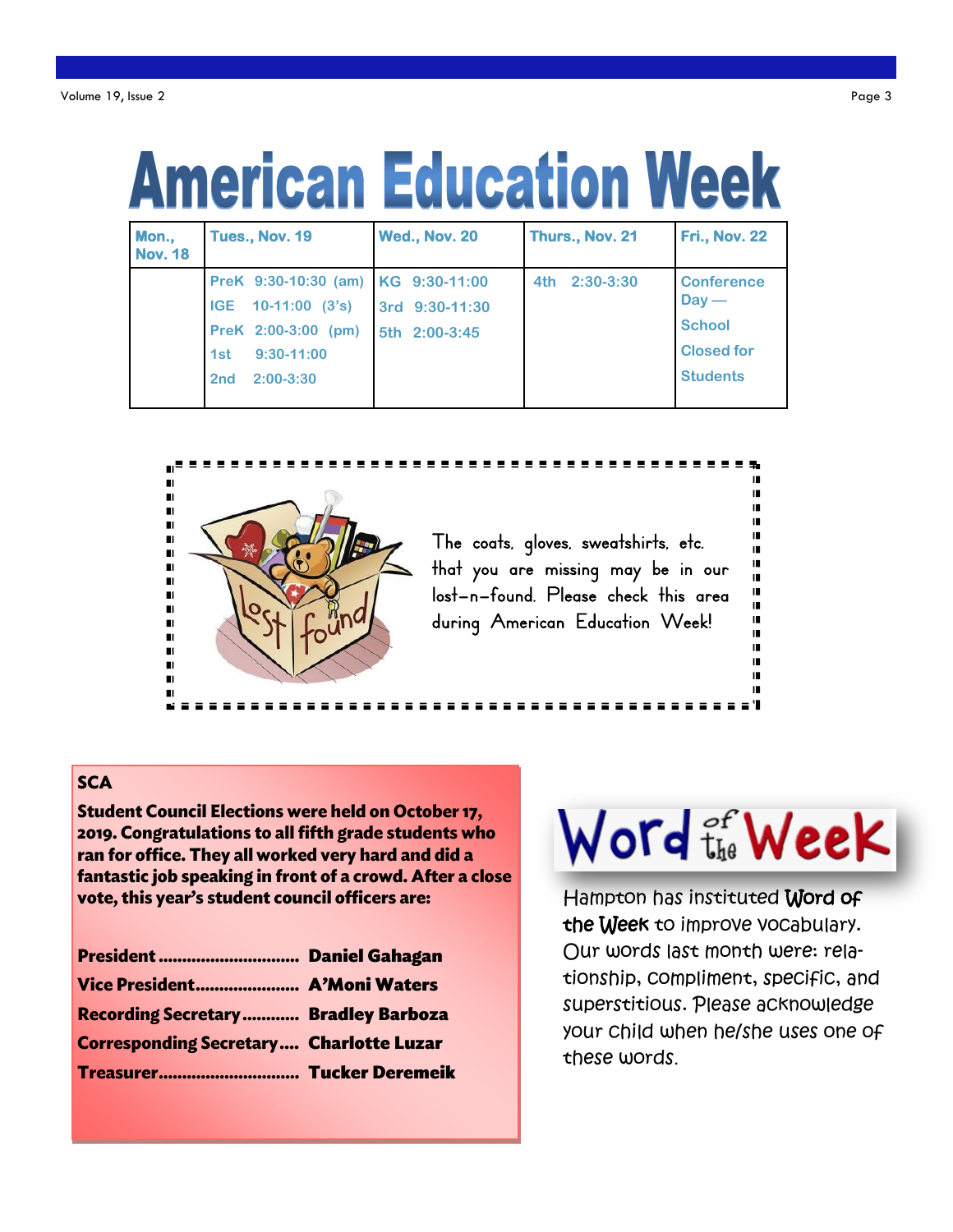# **American Education Week**

| Mon.,<br><b>Nov. 18</b> | <b>Tues., Nov. 19</b>              | <b>Wed., Nov. 20</b> | Thurs., Nov. 21    | <b>Fri., Nov. 22</b> |
|-------------------------|------------------------------------|----------------------|--------------------|----------------------|
|                         | PreK 9:30-10:30 (am) KG 9:30-11:00 |                      | $2:30-3:30$<br>4th | <b>Conference</b>    |
|                         | $10-11:00$ $(3's)$<br><b>IGE</b>   | 3rd 9:30-11:30       |                    | $Day -$              |
|                         | PreK 2:00-3:00 (pm)                | 5th 2:00-3:45        |                    | <b>School</b>        |
|                         | $9:30-11:00$<br>1st                |                      |                    | <b>Closed for</b>    |
|                         | $2:00-3:30$<br>2 <sub>nd</sub>     |                      |                    | <b>Students</b>      |



#### **SCA**

**Student Council Elections were held on October 17,** 2019. Congratulations to all fifth grade students who ran for office. They all worked very hard and did a fantastic job speaking in front of a crowd. After a close vote, this year's student council officers are:

| President  Daniel Gahagan                      |
|------------------------------------------------|
| Vice President A'Moni Waters                   |
| <b>Recording Secretary  Bradley Barboza</b>    |
| <b>Corresponding Secretary Charlotte Luzar</b> |
| Treasurer Tucker Deremeik                      |
|                                                |

## Word the Week

Hampton has instituted Word of the Week to improve vocabulary. Our words last month were: relationship, compliment, specific, and superstitious. Please acknowledge your child when he/she uses one of these words.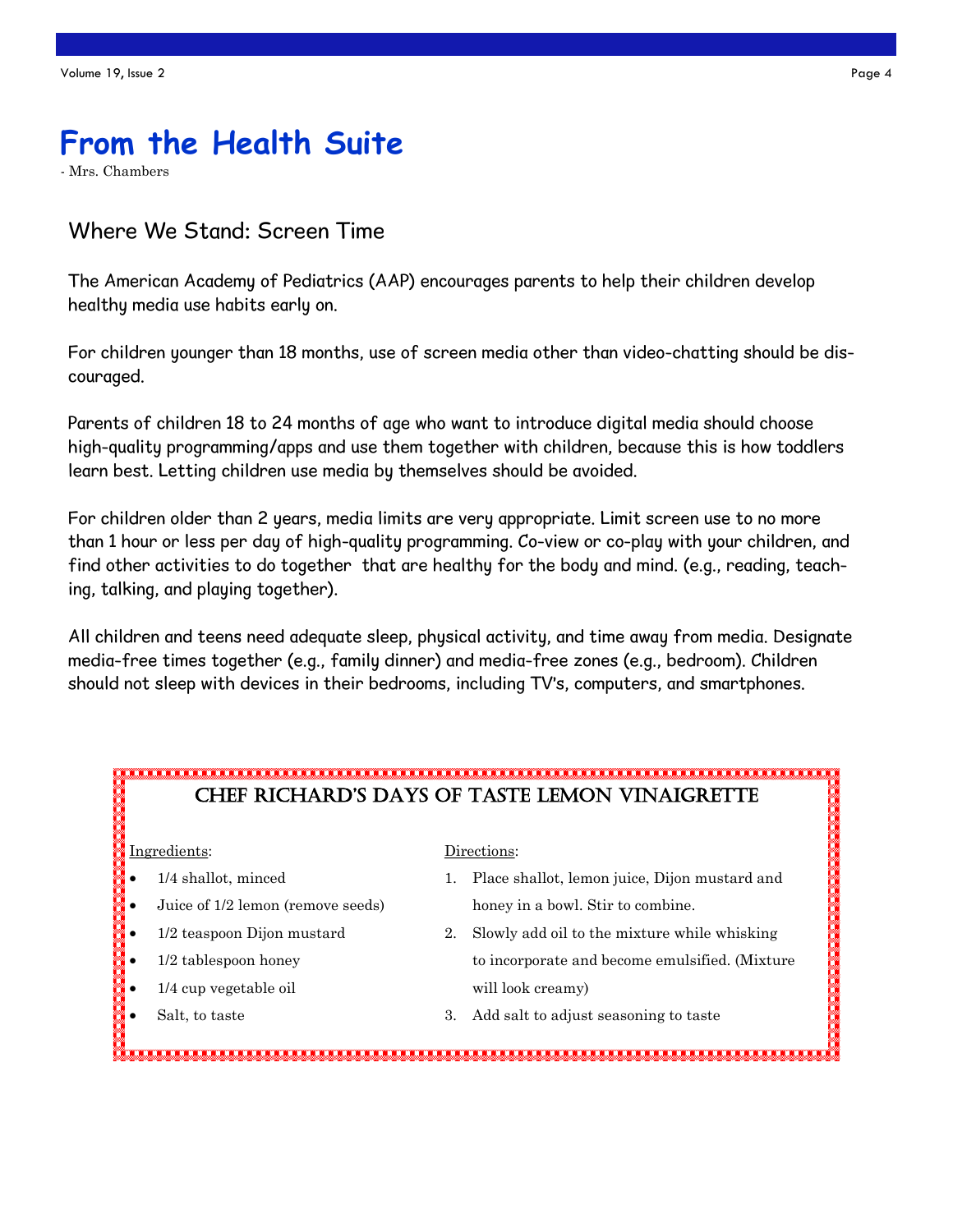## **From the Health Suite**

- Mrs. Chambers

#### Where We Stand: Screen Time

The American Academy of Pediatrics (AAP) encourages parents to help their children develop healthy media use habits early on.

For children younger than 18 months, use of screen media other than video-chatting should be discouraged.

Parents of children 18 to 24 months of age who want to introduce digital media should choose high-quality programming/apps and use them together with children, because this is how toddlers learn best. Letting children use media by themselves should be avoided.

For children older than 2 years, media limits are very appropriate. Limit screen use to no more than 1 hour or less per day of high-quality programming. Co-view or co-play with your children, and find other activities to do together that are healthy for the body and mind. (e.g., reading, teaching, talking, and playing together).

All children and teens need adequate sleep, physical activity, and time away from media. Designate media-free times together (e.g., family dinner) and media-free zones (e.g., bedroom). Children should not sleep with devices in their bedrooms, including TV's, computers, and smartphones.

### Chef RiChaRd's days of TasTe Lemon VinaigReTTe Ingredients: Directions: • 1/4 shallot, minced 1. Place shallot, lemon juice, Dijon mustard and Juice of 1/2 lemon (remove seeds) honey in a bowl. Stir to combine. • 1/2 teaspoon Dijon mustard 2. Slowly add oil to the mixture while whisking 1/2 tablespoon honey to incorporate and become emulsified. (Mixture 1/4 cup vegetable oil will look creamy) Salt, to taste 3. Add salt to adjust seasoning to taste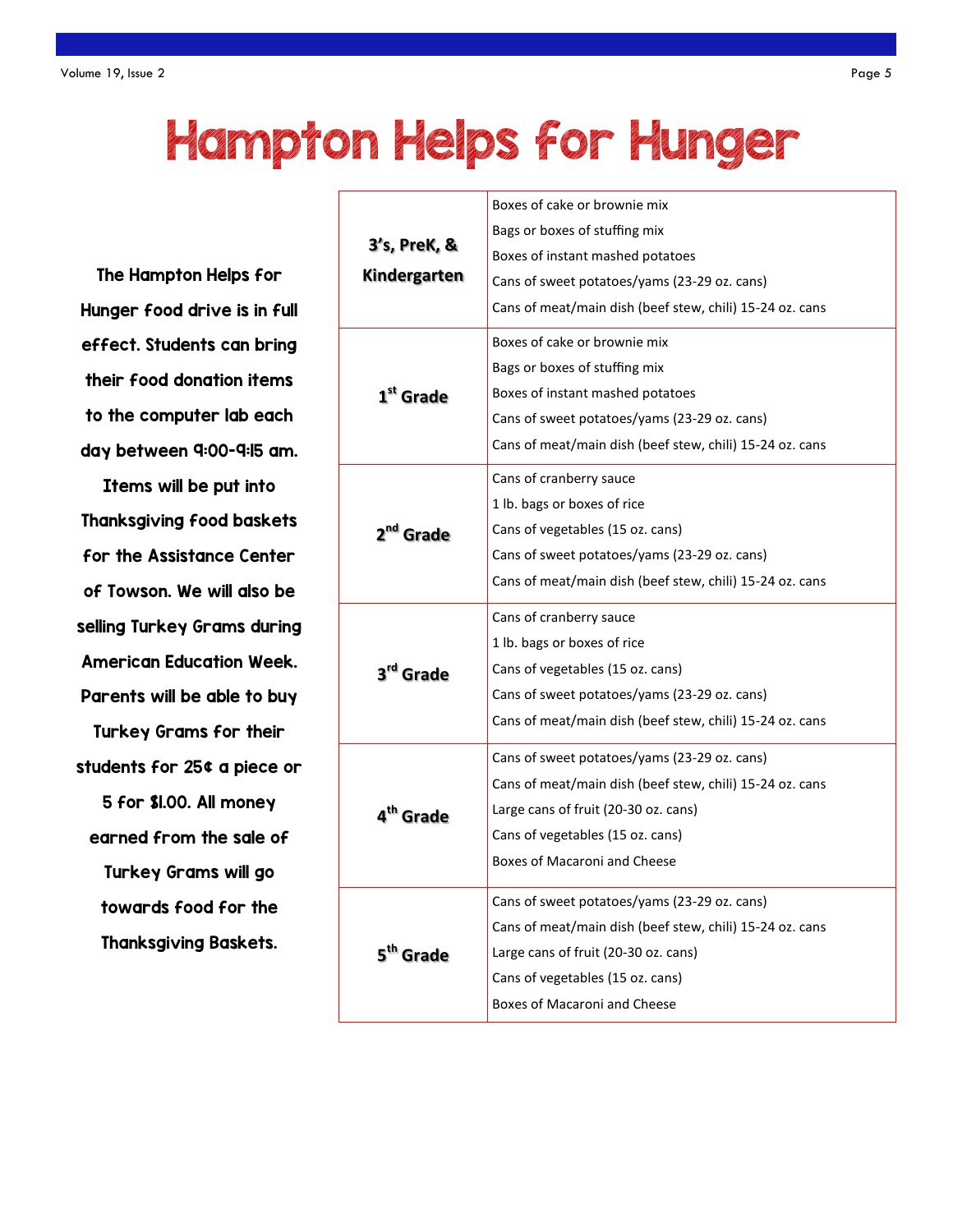## Hampton Helps for Hunger

The Hampton Helps for Hunger food drive is in full effect. Students can bring their food donation items to the computer lab each day between 9:00-9:15 am.

Items will be put into Thanksgiving food baskets for the Assistance Center of Towson. We will also be selling Turkey Grams during American Education Week. Parents will be able to buy Turkey Grams for their students for 25¢ a piece or 5 for \$1.00. All money earned from the sale of Turkey Grams will go towards food for the Thanksgiving Baskets.

|                       | Boxes of cake or brownie mix                             |
|-----------------------|----------------------------------------------------------|
|                       | Bags or boxes of stuffing mix                            |
| 3's, PreK, &          | Boxes of instant mashed potatoes                         |
| <b>Kindergarten</b>   | Cans of sweet potatoes/yams (23-29 oz. cans)             |
|                       | Cans of meat/main dish (beef stew, chili) 15-24 oz. cans |
|                       | Boxes of cake or brownie mix                             |
|                       | Bags or boxes of stuffing mix                            |
| 1 <sup>st</sup> Grade | Boxes of instant mashed potatoes                         |
|                       | Cans of sweet potatoes/yams (23-29 oz. cans)             |
|                       | Cans of meat/main dish (beef stew, chili) 15-24 oz. cans |
|                       | Cans of cranberry sauce                                  |
|                       | 1 lb. bags or boxes of rice                              |
| 2 <sup>nd</sup> Grade | Cans of vegetables (15 oz. cans)                         |
|                       | Cans of sweet potatoes/yams (23-29 oz. cans)             |
|                       | Cans of meat/main dish (beef stew, chili) 15-24 oz. cans |
|                       |                                                          |
|                       | Cans of cranberry sauce                                  |
|                       | 1 lb. bags or boxes of rice                              |
| 3 <sup>rd</sup> Grade | Cans of vegetables (15 oz. cans)                         |
|                       | Cans of sweet potatoes/yams (23-29 oz. cans)             |
|                       | Cans of meat/main dish (beef stew, chili) 15-24 oz. cans |
|                       | Cans of sweet potatoes/yams (23-29 oz. cans)             |
|                       | Cans of meat/main dish (beef stew, chili) 15-24 oz. cans |
| 4 <sup>th</sup> Grade | Large cans of fruit (20-30 oz. cans)                     |
|                       | Cans of vegetables (15 oz. cans)                         |
|                       | Boxes of Macaroni and Cheese                             |
|                       | Cans of sweet potatoes/yams (23-29 oz. cans)             |
|                       | Cans of meat/main dish (beef stew, chili) 15-24 oz. cans |
| 5 <sup>th</sup> Grade | Large cans of fruit (20-30 oz. cans)                     |
|                       | Cans of vegetables (15 oz. cans)                         |